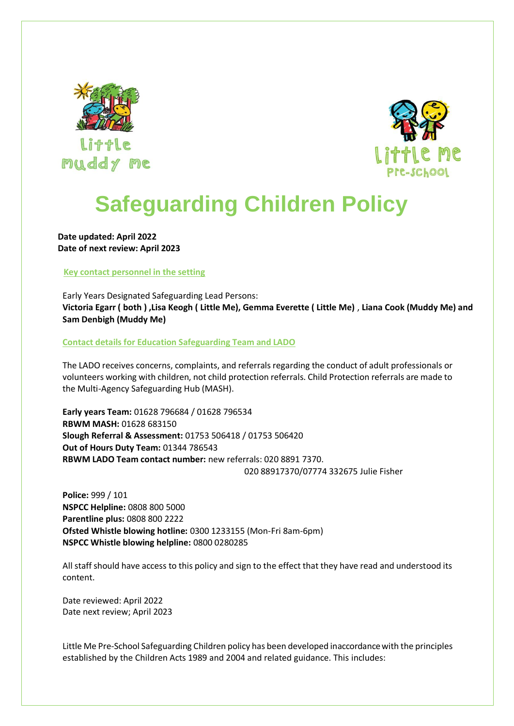



# **Safeguarding Children Policy**

**Date updated: April 2022 Date of next review: April 2023**

# **Key contact personnel in the setting**

Early Years Designated Safeguarding Lead Persons: **Victoria Egarr ( both ) ,Lisa Keogh ( Little Me), Gemma Everette ( Little Me)** , **Liana Cook (Muddy Me) and Sam Denbigh (Muddy Me)** 

**Contact details for Education Safeguarding Team and LADO**

The LADO receives concerns, complaints, and referrals regarding the conduct of adult professionals or volunteers working with children, not child protection referrals. Child Protection referrals are made to the Multi-Agency Safeguarding Hub (MASH).

**Early years Team:** 01628 796684 / 01628 796534 **RBWM MASH:** 01628 683150 **Slough Referral & Assessment:** 01753 506418 / 01753 506420 **Out of Hours Duty Team:** 01344 786543 **RBWM LADO Team contact number:** new referrals: 020 8891 7370. 020 88917370/07774 332675 Julie Fisher

**Police:** 999 / 101 **NSPCC Helpline:** 0808 800 5000 **Parentline plus:** 0808 800 2222 **Ofsted Whistle blowing hotline:** 0300 1233155 (Mon-Fri 8am-6pm) **NSPCC Whistle blowing helpline:** 0800 0280285

All staff should have access to this policy and sign to the effect that they have read and understood its content.

Date reviewed: April 2022 Date next review; April 2023

Little Me Pre-School Safeguarding Children policy has been developed inaccordance with the principles established by the Children Acts 1989 and 2004 and related guidance. This includes: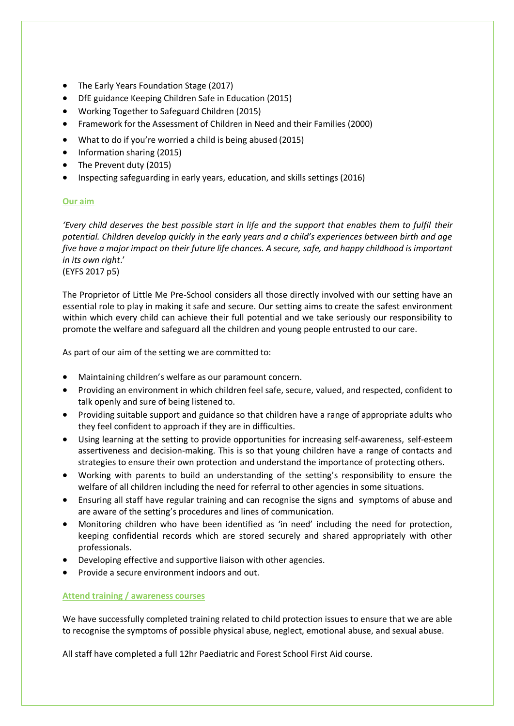- The Early Years Foundation Stage (2017)
- DfE guidance Keeping Children Safe in Education (2015)
- Working Together to Safeguard Children (2015)
- Framework for the Assessment of Children in Need and their Families (2000)
- What to do if you're worried a child is being abused (2015)
- Information sharing (2015)
- The Prevent duty (2015)
- Inspecting safeguarding in early years, education, and skills settings (2016)

# **Our aim**

*'Every child deserves the best possible start in life and the support that enables them to fulfil their potential. Children develop quickly in the early years and a child's experiences between birth and age five have a major impact on their future life chances. A secure, safe, and happy childhood is important in its own right*.'

(EYFS 2017 p5)

The Proprietor of Little Me Pre-School considers all those directly involved with our setting have an essential role to play in making it safe and secure. Our setting aims to create the safest environment within which every child can achieve their full potential and we take seriously our responsibility to promote the welfare and safeguard all the children and young people entrusted to our care.

As part of our aim of the setting we are committed to:

- Maintaining children's welfare as our paramount concern.
- Providing an environment in which children feel safe, secure, valued, and respected, confident to talk openly and sure of being listened to.
- Providing suitable support and guidance so that children have a range of appropriate adults who they feel confident to approach if they are in difficulties.
- Using learning at the setting to provide opportunities for increasing self-awareness, self-esteem assertiveness and decision-making. This is so that young children have a range of contacts and strategies to ensure their own protection and understand the importance of protecting others.
- Working with parents to build an understanding of the setting's responsibility to ensure the welfare of all children including the need for referral to other agencies in some situations.
- Ensuring all staff have regular training and can recognise the signs and symptoms of abuse and are aware of the setting's procedures and lines of communication.
- Monitoring children who have been identified as 'in need' including the need for protection, keeping confidential records which are stored securely and shared appropriately with other professionals.
- Developing effective and supportive liaison with other agencies.
- Provide a secure environment indoors and out.

# **Attend training / awareness courses**

We have successfully completed training related to child protection issues to ensure that we are able to recognise the symptoms of possible physical abuse, neglect, emotional abuse, and sexual abuse.

All staff have completed a full 12hr Paediatric and Forest School First Aid course.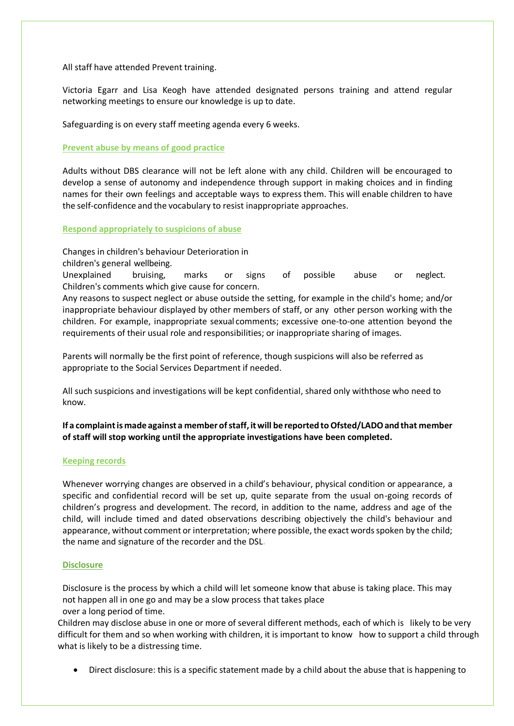All staff have attended Prevent training.

Victoria Egarr and Lisa Keogh have attended designated persons training and attend regular networking meetings to ensure our knowledge is up to date.

Safeguarding is on every staff meeting agenda every 6 weeks.

# **Prevent abuse by means of good practice**

Adults without DBS clearance will not be left alone with any child. Children will be encouraged to develop a sense of autonomy and independence through support in making choices and in finding names for their own feelings and acceptable ways to express them. This will enable children to have the self-confidence and the vocabulary to resist inappropriate approaches.

# **Respond appropriately to suspicions of abuse**

Changes in children's behaviour Deterioration in

children's general wellbeing.

Unexplained bruising, marks or signs of possible abuse or neglect. Children's comments which give cause for concern.

Any reasons to suspect neglect or abuse outside the setting, for example in the child's home; and/or inappropriate behaviour displayed by other members of staff, or any other person working with the children. For example, inappropriate sexual comments; excessive one-to-one attention beyond the requirements of their usual role and responsibilities; or inappropriate sharing of images.

Parents will normally be the first point of reference, though suspicions will also be referred as appropriate to the Social Services Department if needed.

All such suspicions and investigations will be kept confidential, shared only withthose who need to know.

**If** a complaint is made against a member of staff, it will be reported to Ofsted/LADO and that member **of staff will stop working until the appropriate investigations have been completed.**

# **Keeping records**

Whenever worrying changes are observed in a child's behaviour, physical condition or appearance, a specific and confidential record will be set up, quite separate from the usual on-going records of children's progress and development. The record, in addition to the name, address and age of the child, will include timed and dated observations describing objectively the child's behaviour and appearance, without comment or interpretation; where possible, the exact words spoken by the child; the name and signature of the recorder and the DSL**.**

# **Disclosure**

Disclosure is the process by which a child will let someone know that abuse is taking place. This may not happen all in one go and may be a slow process that takes place over a long period of time.

Children may disclose abuse in one or more of several different methods, each of which is likely to be very difficult for them and so when working with children, it is important to know how to support a child through what is likely to be a distressing time.

• Direct disclosure: this is a specific statement made by a child about the abuse that is happening to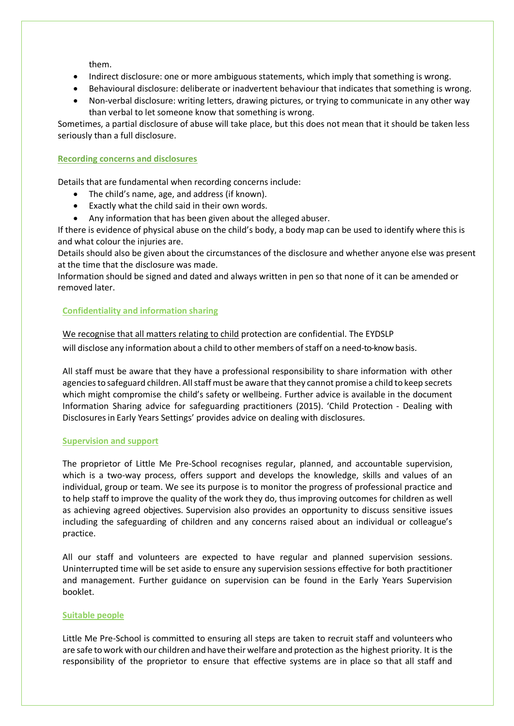them.

- Indirect disclosure: one or more ambiguous statements, which imply that something is wrong.
- Behavioural disclosure: deliberate or inadvertent behaviour that indicates that something is wrong.
- Non-verbal disclosure: writing letters, drawing pictures, or trying to communicate in any other way than verbal to let someone know that something is wrong.

Sometimes, a partial disclosure of abuse will take place, but this does not mean that it should be taken less seriously than a full disclosure.

# **Recording concerns and disclosures**

Details that are fundamental when recording concerns include:

- The child's name, age, and address (if known).
- Exactly what the child said in their own words.
- Any information that has been given about the alleged abuser.

If there is evidence of physical abuse on the child's body, a body map can be used to identify where this is and what colour the injuries are.

Details should also be given about the circumstances of the disclosure and whether anyone else was present at the time that the disclosure was made.

Information should be signed and dated and always written in pen so that none of it can be amended or removed later.

# **Confidentiality and information sharing**

We recognise that all matters relating to child protection are confidential. The EYDSLP will disclose any information about a child to other members of staff on a need-to-know basis.

All staff must be aware that they have a professional responsibility to share information with other agencies to safeguard children. All staff must be aware that they cannot promise a child to keep secrets which might compromise the child's safety or wellbeing. Further advice is available in the document Information Sharing advice for safeguarding practitioners (2015). 'Child Protection - Dealing with Disclosuresin Early Years Settings' provides advice on dealing with disclosures.

# **Supervision and support**

The proprietor of Little Me Pre-School recognises regular, planned, and accountable supervision, which is a two-way process, offers support and develops the knowledge, skills and values of an individual, group or team. We see its purpose is to monitor the progress of professional practice and to help staff to improve the quality of the work they do, thus improving outcomes for children as well as achieving agreed objectives. Supervision also provides an opportunity to discuss sensitive issues including the safeguarding of children and any concerns raised about an individual or colleague's practice.

All our staff and volunteers are expected to have regular and planned supervision sessions. Uninterrupted time will be set aside to ensure any supervision sessions effective for both practitioner and management. Further guidance on supervision can be found in the Early Years Supervision booklet.

# **Suitable people**

Little Me Pre-School is committed to ensuring all steps are taken to recruit staff and volunteers who are safe to work with our children and have their welfare and protection as the highest priority. It is the responsibility of the proprietor to ensure that effective systems are in place so that all staff and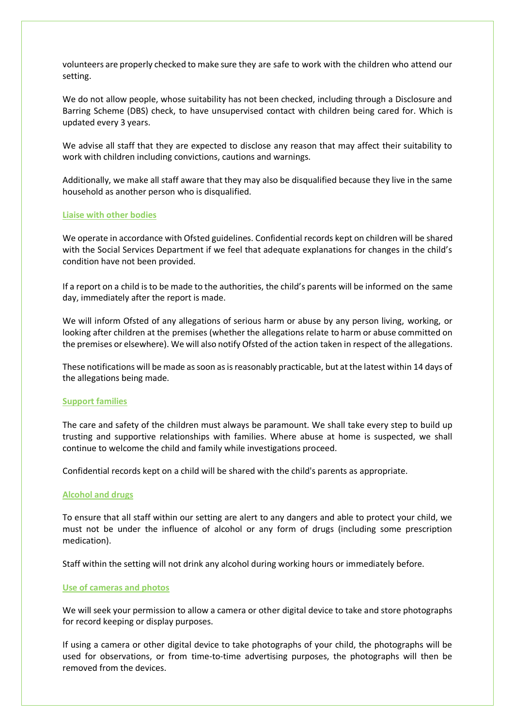volunteers are properly checked to make sure they are safe to work with the children who attend our setting.

We do not allow people, whose suitability has not been checked, including through a Disclosure and Barring Scheme (DBS) check, to have unsupervised contact with children being cared for. Which is updated every 3 years.

We advise all staff that they are expected to disclose any reason that may affect their suitability to work with children including convictions, cautions and warnings.

Additionally, we make all staff aware that they may also be disqualified because they live in the same household as another person who is disqualified.

#### **Liaise with other bodies**

We operate in accordance with Ofsted guidelines. Confidential records kept on children will be shared with the Social Services Department if we feel that adequate explanations for changes in the child's condition have not been provided.

If a report on a child is to be made to the authorities, the child's parents will be informed on the same day, immediately after the report is made.

We will inform Ofsted of any allegations of serious harm or abuse by any person living, working, or looking after children at the premises (whether the allegations relate to harm or abuse committed on the premises or elsewhere). We will also notify Ofsted of the action taken in respect of the allegations.

These notifications will be made as soon as is reasonably practicable, but at the latest within 14 days of the allegations being made.

#### **Support families**

The care and safety of the children must always be paramount. We shall take every step to build up trusting and supportive relationships with families. Where abuse at home is suspected, we shall continue to welcome the child and family while investigations proceed.

Confidential records kept on a child will be shared with the child's parents as appropriate.

#### **Alcohol and drugs**

To ensure that all staff within our setting are alert to any dangers and able to protect your child, we must not be under the influence of alcohol or any form of drugs (including some prescription medication).

Staff within the setting will not drink any alcohol during working hours or immediately before.

# **Use of cameras and photos**

We will seek your permission to allow a camera or other digital device to take and store photographs for record keeping or display purposes.

If using a camera or other digital device to take photographs of your child, the photographs will be used for observations, or from time-to-time advertising purposes, the photographs will then be removed from the devices.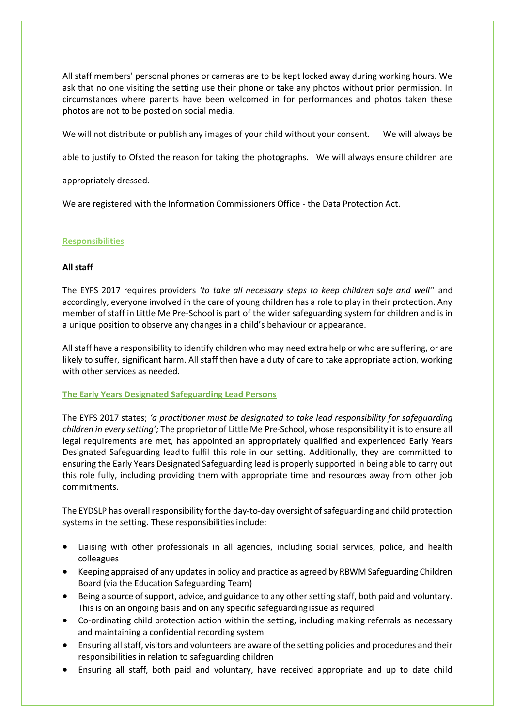All staff members' personal phones or cameras are to be kept locked away during working hours. We ask that no one visiting the setting use their phone or take any photos without prior permission. In circumstances where parents have been welcomed in for performances and photos taken these photos are not to be posted on social media.

We will not distribute or publish any images of your child without your consent. We will always be

able to justify to Ofsted the reason for taking the photographs. We will always ensure children are

appropriately dressed.

We are registered with the Information Commissioners Office - the Data Protection Act.

#### **Responsibilities**

#### **All staff**

The EYFS 2017 requires providers *'to take all necessary steps to keep children safe and well'*' and accordingly, everyone involved in the care of young children has a role to play in their protection. Any member of staff in Little Me Pre-School is part of the wider safeguarding system for children and is in a unique position to observe any changes in a child's behaviour or appearance.

All staff have a responsibility to identify children who may need extra help or who are suffering, or are likely to suffer, significant harm. All staff then have a duty of care to take appropriate action, working with other services as needed.

#### **The Early Years Designated Safeguarding Lead Persons**

The EYFS 2017 states; *'a practitioner must be designated to take lead responsibility for safeguarding children in every setting';* The proprietor of Little Me Pre-School, whose responsibility it is to ensure all legal requirements are met, has appointed an appropriately qualified and experienced Early Years Designated Safeguarding leadto fulfil this role in our setting. Additionally, they are committed to ensuring the Early Years Designated Safeguarding lead is properly supported in being able to carry out this role fully, including providing them with appropriate time and resources away from other job commitments.

The EYDSLP has overall responsibility for the day-to-day oversight of safeguarding and child protection systems in the setting. These responsibilities include:

- Liaising with other professionals in all agencies, including social services, police, and health colleagues
- Keeping appraised of any updates in policy and practice as agreed by RBWM Safeguarding Children Board (via the Education Safeguarding Team)
- Being a source of support, advice, and guidance to any other setting staff, both paid and voluntary. This is on an ongoing basis and on any specific safeguardingissue as required
- Co-ordinating child protection action within the setting, including making referrals as necessary and maintaining a confidential recording system
- Ensuring all staff, visitors and volunteers are aware of the setting policies and procedures and their responsibilities in relation to safeguarding children
- Ensuring all staff, both paid and voluntary, have received appropriate and up to date child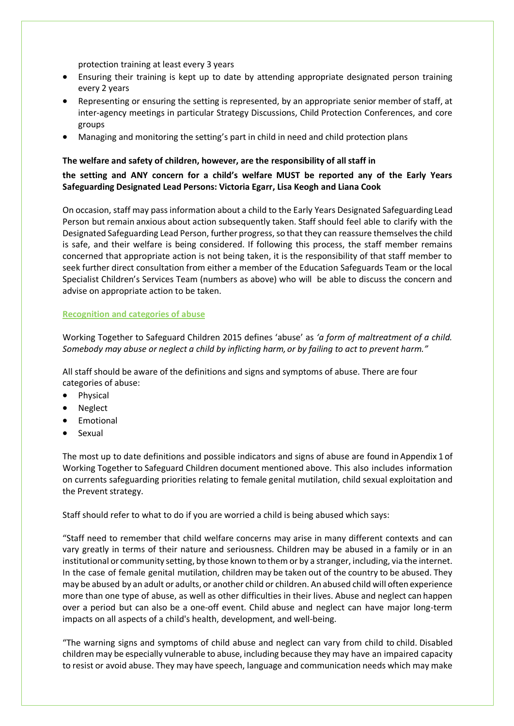protection training at least every 3 years

- Ensuring their training is kept up to date by attending appropriate designated person training every 2 years
- Representing or ensuring the setting is represented, by an appropriate senior member of staff, at inter-agency meetings in particular Strategy Discussions, Child Protection Conferences, and core groups
- Managing and monitoring the setting's part in child in need and child protection plans

# **The welfare and safety of children, however, are the responsibility of all staff in**

# **the setting and ANY concern for a child's welfare MUST be reported any of the Early Years Safeguarding Designated Lead Persons: Victoria Egarr, Lisa Keogh and Liana Cook**

On occasion, staff may pass information about a child to the Early Years Designated Safeguarding Lead Person but remain anxious about action subsequently taken. Staff should feel able to clarify with the Designated Safeguarding Lead Person, further progress, so that they can reassure themselves the child is safe, and their welfare is being considered. If following this process, the staff member remains concerned that appropriate action is not being taken, it is the responsibility of that staff member to seek further direct consultation from either a member of the Education Safeguards Team or the local Specialist Children's Services Team (numbers as above) who will be able to discuss the concern and advise on appropriate action to be taken.

# **Recognition and categories of abuse**

Working Together to Safeguard Children 2015 defines 'abuse' as *'a form of maltreatment of a child. Somebody may abuse or neglect a child by inflicting harm, or by failing to act to prevent harm."*

All staff should be aware of the definitions and signs and symptoms of abuse. There are four categories of abuse:

- Physical
- Neglect
- Emotional
- **Sexual**

The most up to date definitions and possible indicators and signs of abuse are found in Appendix 1 of Working Together to Safeguard Children document mentioned above. This also includes information on currents safeguarding priorities relating to female genital mutilation, child sexual exploitation and the Prevent strategy.

Staff should refer to what to do if you are worried a child is being abused which says:

"Staff need to remember that child welfare concerns may arise in many different contexts and can vary greatly in terms of their nature and seriousness. Children may be abused in a family or in an institutional or community setting, by those known to them or by a stranger, including, via the internet. In the case of female genital mutilation, children may be taken out of the country to be abused. They may be abused by an adult or adults, or another child or children. An abused child will often experience more than one type of abuse, as well as other difficulties in their lives. Abuse and neglect can happen over a period but can also be a one-off event. Child abuse and neglect can have major long-term impacts on all aspects of a child's health, development, and well-being.

"The warning signs and symptoms of child abuse and neglect can vary from child to child. Disabled children may be especially vulnerable to abuse, including because they may have an impaired capacity to resist or avoid abuse. They may have speech, language and communication needs which may make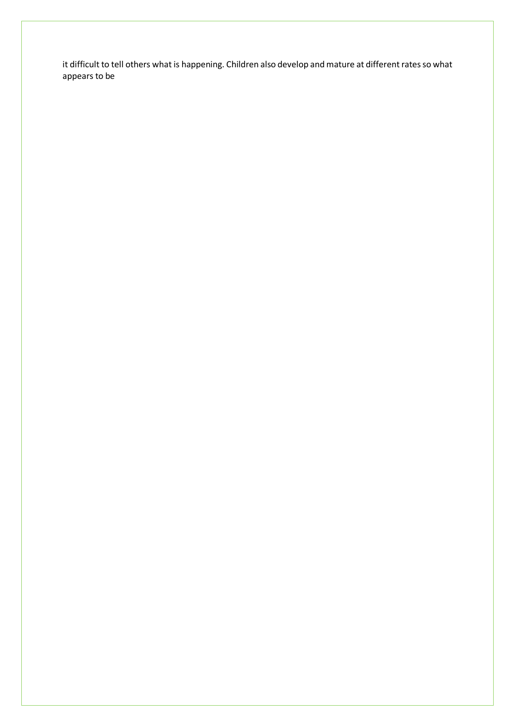it difficult to tell others what is happening. Children also develop and mature at different rates so what appears to be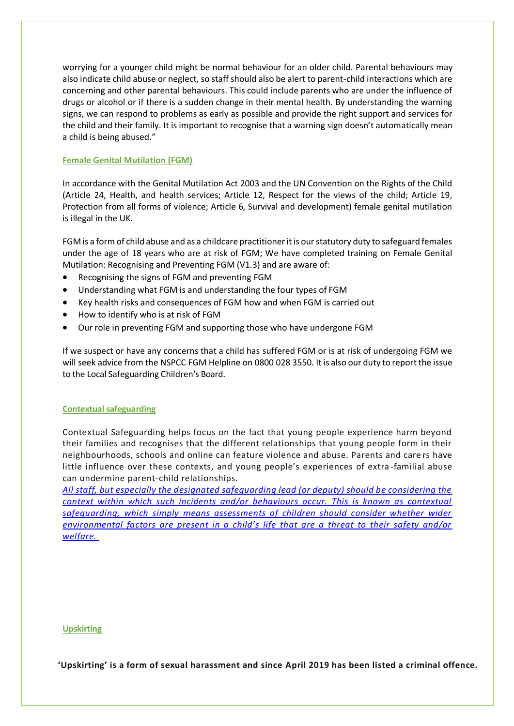worrying for a younger child might be normal behaviour for an older child. Parental behaviours may also indicate child abuse or neglect, so staff should also be alert to parent-child interactions which are concerning and other parental behaviours. This could include parents who are under the influence of drugs or alcohol or if there is a sudden change in their mental health. By understanding the warning signs, we can respond to problems as early as possible and provide the right support and services for the child and their family. It is important to recognise that a warning sign doesn't automatically mean a child is being abused."

# **Female Genital Mutilation (FGM)**

In accordance with the Genital Mutilation Act 2003 and the UN Convention on the Rights of the Child (Article 24, Health, and health services; Article 12, Respect for the views of the child; Article 19, Protection from all forms of violence; Article 6, Survival and development) female genital mutilation is illegal in the UK.

FGM is a form of child abuse and as a childcare practitioner it is our statutory duty to safeguard females under the age of 18 years who are at risk of FGM; We have completed training on Female Genital Mutilation: Recognising and Preventing FGM (V1.3) and are aware of:

- Recognising the signs of FGM and preventing FGM
- Understanding what FGM is and understanding the four types of FGM
- Key health risks and consequences of FGM how and when FGM is carried out
- How to identify who is at risk of FGM
- Our role in preventing FGM and supporting those who have undergone FGM

If we suspect or have any concerns that a child has suffered FGM or is at risk of undergoing FGM we will seek advice from the NSPCC FGM Helpline on 0800 028 3550. It is also our duty to report the issue to the Local Safeguarding Children's Board.

# **Contextual safeguarding**

Contextual Safeguarding helps focus on the fact that young people experience harm beyond their families and recognises that the different relationships that young people form in their neighbourhoods, schools and online can feature violence and abuse. Parents and care rs have little influence over these contexts, and young people's experiences of extra -familial abuse can undermine parent-child relationships.

*[All staff, but especially the designated safeguarding lead \(or deputy\) should be considering the](https://assets.publishing.service.gov.uk/government/uploads/system/uploads/attachment_data/file/707761/Keeping_Children_Safe_in_Education_-_September_2018.pdf)  [context within which such incidents and/or behaviours occur. This is known as contextual](https://assets.publishing.service.gov.uk/government/uploads/system/uploads/attachment_data/file/707761/Keeping_Children_Safe_in_Education_-_September_2018.pdf)  [safeguarding, which simply means assessments of children should consider whether wider](https://assets.publishing.service.gov.uk/government/uploads/system/uploads/attachment_data/file/707761/Keeping_Children_Safe_in_Education_-_September_2018.pdf)  [environmental factors are present in a child's life that are a threat to their safety and/or](https://assets.publishing.service.gov.uk/government/uploads/system/uploads/attachment_data/file/707761/Keeping_Children_Safe_in_Education_-_September_2018.pdf)  [welfare.](https://assets.publishing.service.gov.uk/government/uploads/system/uploads/attachment_data/file/707761/Keeping_Children_Safe_in_Education_-_September_2018.pdf)*

#### **Upskirting**

**'Upskirting' is a form of sexual harassment and since April 2019 has been listed a criminal offence.**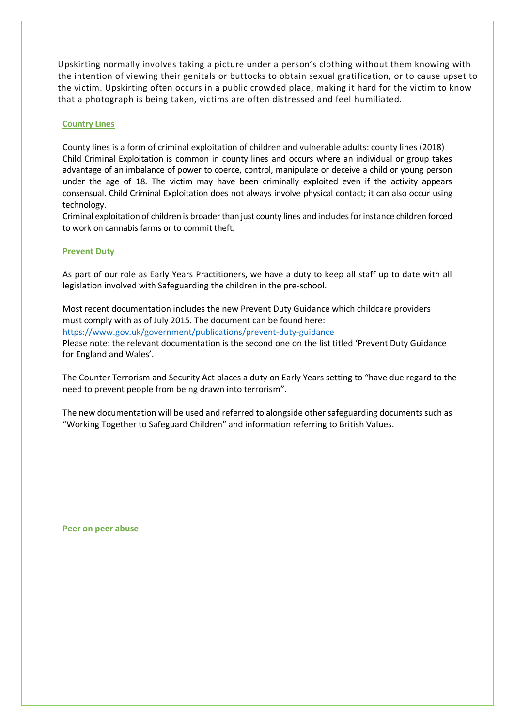Upskirting normally involves taking a picture under a person's clothing without them knowing with the intention of viewing their genitals or buttocks to obtain sexual gratification, or to cause upset to the victim. Upskirting often occurs in a public crowded place, making it hard for the victim to know that a photograph is being taken, victims are often distressed and feel humiliated.

#### **Country Lines**

County lines is a form of criminal exploitation of children and vulnerable adults: county lines (2018) Child Criminal Exploitation is common in county lines and occurs where an individual or group takes advantage of an imbalance of power to coerce, control, manipulate or deceive a child or young person under the age of 18. The victim may have been criminally exploited even if the activity appears consensual. Child Criminal Exploitation does not always involve physical contact; it can also occur using technology.

Criminal exploitation of children is broader than just county lines and includes for instance children forced to work on cannabis farms or to commit theft.

#### **Prevent Duty**

As part of our role as Early Years Practitioners, we have a duty to keep all staff up to date with all legislation involved with Safeguarding the children in the pre-school.

Most recent documentation includes the new Prevent Duty Guidance which childcare providers must comply with as of July 2015. The document can be found here: https:/[/www.gov.uk/government/publications/prevent-duty-guidance](http://www.gov.uk/government/publications/prevent-duty-guidance)

Please note: the relevant documentation is the second one on the list titled 'Prevent Duty Guidance for England and Wales'.

The Counter Terrorism and Security Act places a duty on Early Years setting to "have due regard to the need to prevent people from being drawn into terrorism".

The new documentation will be used and referred to alongside other safeguarding documents such as "Working Together to Safeguard Children" and information referring to British Values.

**Peer on peer abuse**